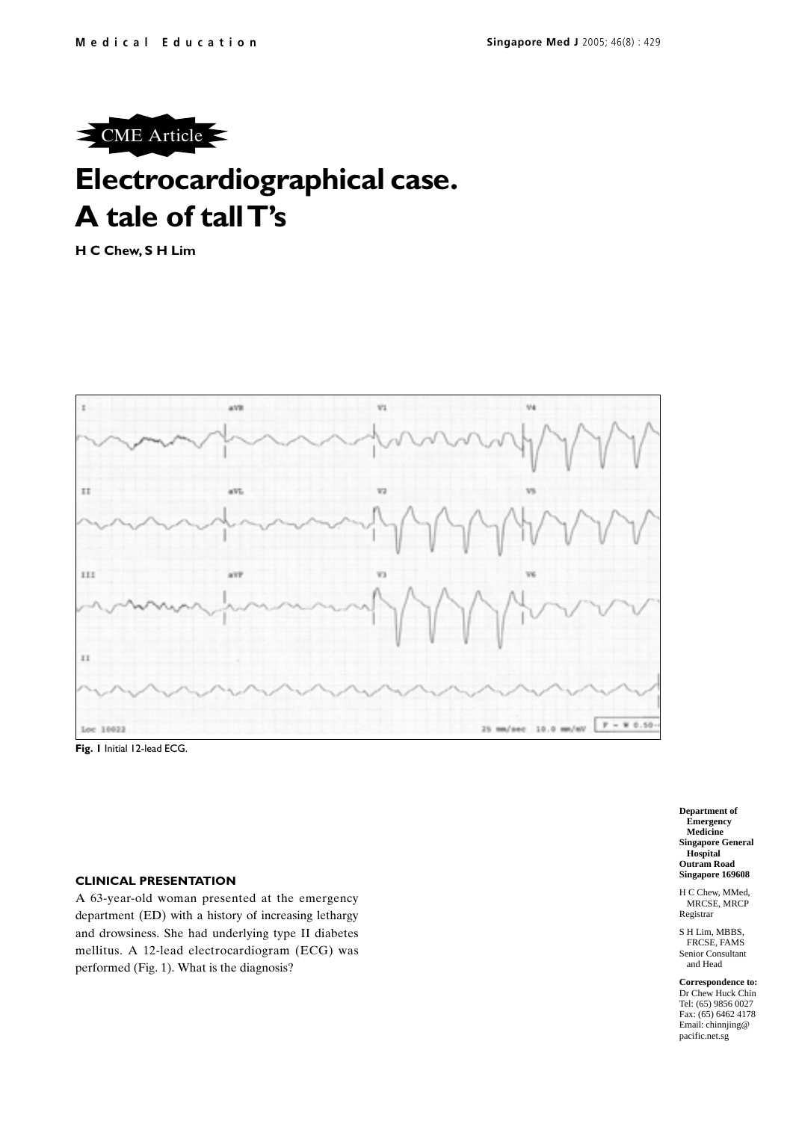

# **Electrocardiographical case. A tale of tall T's**

**H C Chew, S H Lim**



**Fig. 1** Initial 12-lead ECG.

## **CLINICAL PRESENTATION**

A 63-year-old woman presented at the emergency department (ED) with a history of increasing lethargy and drowsiness. She had underlying type II diabetes mellitus. A 12-lead electrocardiogram (ECG) was performed (Fig. 1). What is the diagnosis?

**Department of Emergency Medicine Singapore General Hospital Outram Road Singapore 169608**

H C Chew, MMed, MRCSE, MRCP Registrar

S H Lim, MBBS, FRCSE, FAMS Senior Consultant and Head

**Correspondence to:** Dr Chew Huck Chin Tel: (65) 9856 0027 Fax: (65) 6462 4178 Email: chinnjing@ pacific.net.sg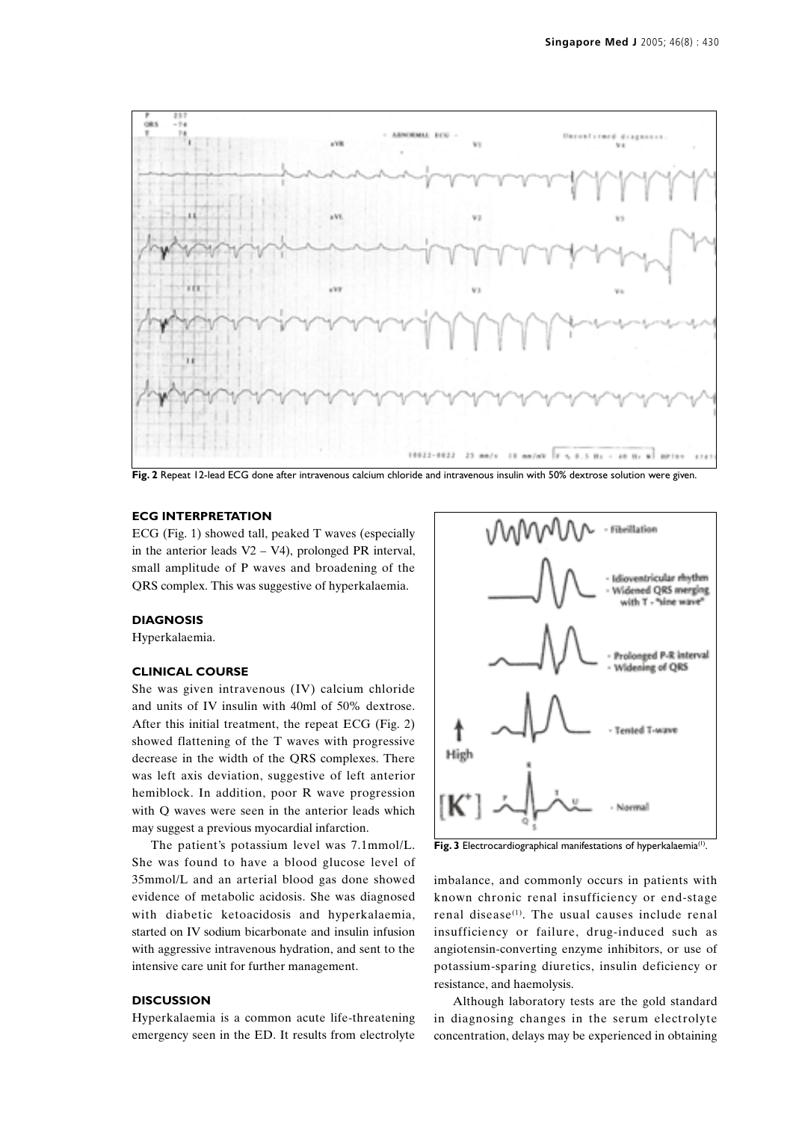

**Fig. 2** Repeat 12-lead ECG done after intravenous calcium chloride and intravenous insulin with 50% dextrose solution were given.

## **ECG INTERPRETATION**

ECG (Fig. 1) showed tall, peaked T waves (especially in the anterior leads  $V2 - V4$ ), prolonged PR interval, small amplitude of P waves and broadening of the QRS complex. This was suggestive of hyperkalaemia.

## **DIAGNOSIS**

Hyperkalaemia.

### **CLINICAL COURSE**

She was given intravenous (IV) calcium chloride and units of IV insulin with 40ml of 50% dextrose. After this initial treatment, the repeat ECG (Fig. 2) showed flattening of the T waves with progressive decrease in the width of the QRS complexes. There was left axis deviation, suggestive of left anterior hemiblock. In addition, poor R wave progression with Q waves were seen in the anterior leads which may suggest a previous myocardial infarction.

The patient's potassium level was 7.1mmol/L. She was found to have a blood glucose level of 35mmol/L and an arterial blood gas done showed evidence of metabolic acidosis. She was diagnosed with diabetic ketoacidosis and hyperkalaemia, started on IV sodium bicarbonate and insulin infusion with aggressive intravenous hydration, and sent to the intensive care unit for further management.

## **DISCUSSION**

Hyperkalaemia is a common acute life-threatening emergency seen in the ED. It results from electrolyte



Fig. 3 Electrocardiographical manifestations of hyperkalaemia<sup>(1)</sup>.

imbalance, and commonly occurs in patients with known chronic renal insufficiency or end-stage renal disease<sup>(1)</sup>. The usual causes include renal insufficiency or failure, drug-induced such as angiotensin-converting enzyme inhibitors, or use of potassium-sparing diuretics, insulin deficiency or resistance, and haemolysis.

Although laboratory tests are the gold standard in diagnosing changes in the serum electrolyte concentration, delays may be experienced in obtaining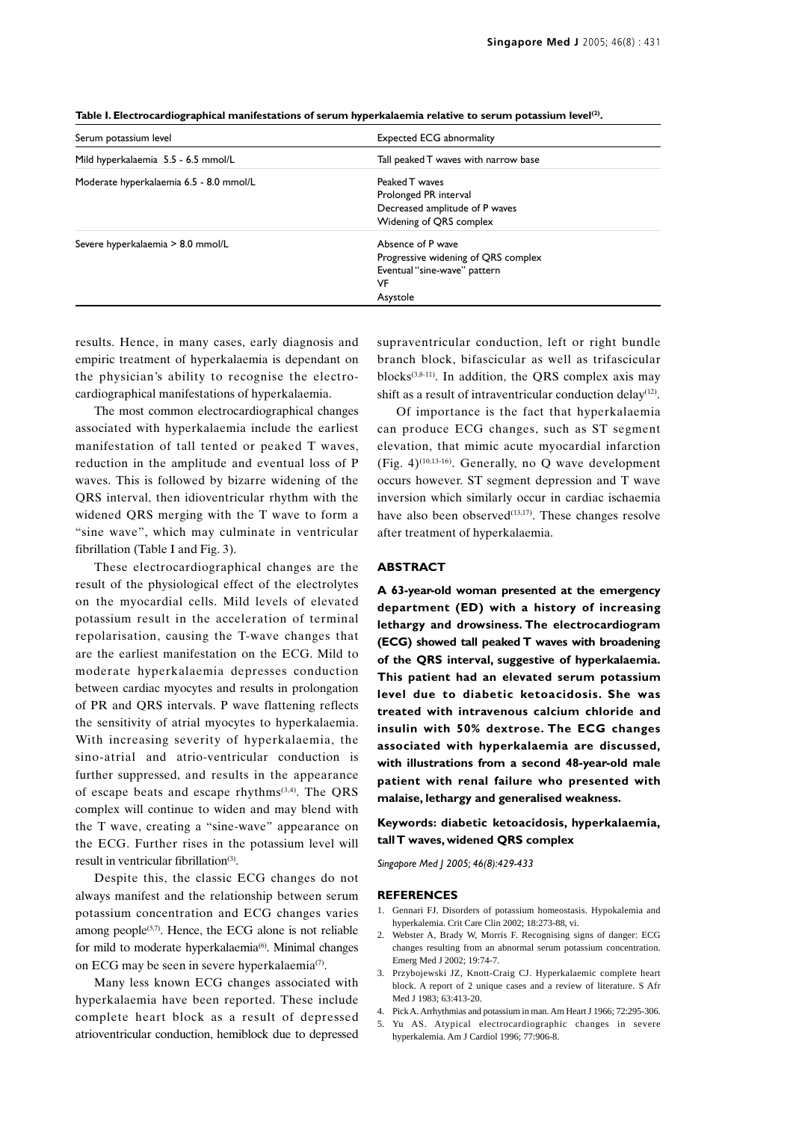| <b>Expected ECG abnormality</b>      |  |
|--------------------------------------|--|
| Tall peaked T waves with narrow base |  |
| Peaked T waves                       |  |
| Prolonged PR interval                |  |
| Decreased amplitude of P waves       |  |
| Widening of QRS complex              |  |
| Absence of P wave                    |  |
| Progressive widening of QRS complex  |  |
| Eventual "sine-wave" pattern         |  |
| VF                                   |  |
| Asystole                             |  |
|                                      |  |

**Table I. Electrocardiographical manifestations of serum hyperkalaemia relative to serum potassium level(2).**

results. Hence, in many cases, early diagnosis and empiric treatment of hyperkalaemia is dependant on the physician's ability to recognise the electrocardiographical manifestations of hyperkalaemia.

The most common electrocardiographical changes associated with hyperkalaemia include the earliest manifestation of tall tented or peaked T waves, reduction in the amplitude and eventual loss of P waves. This is followed by bizarre widening of the QRS interval, then idioventricular rhythm with the widened QRS merging with the T wave to form a "sine wave", which may culminate in ventricular fibrillation (Table I and Fig. 3).

These electrocardiographical changes are the result of the physiological effect of the electrolytes on the myocardial cells. Mild levels of elevated potassium result in the acceleration of terminal repolarisation, causing the T-wave changes that are the earliest manifestation on the ECG. Mild to moderate hyperkalaemia depresses conduction between cardiac myocytes and results in prolongation of PR and QRS intervals. P wave flattening reflects the sensitivity of atrial myocytes to hyperkalaemia. With increasing severity of hyperkalaemia, the sino-atrial and atrio-ventricular conduction is further suppressed, and results in the appearance of escape beats and escape rhythms(3,4). The QRS complex will continue to widen and may blend with the T wave, creating a "sine-wave" appearance on the ECG. Further rises in the potassium level will result in ventricular fibrillation<sup>(3)</sup>.

Despite this, the classic ECG changes do not always manifest and the relationship between serum potassium concentration and ECG changes varies among people $(5,7)$ . Hence, the ECG alone is not reliable for mild to moderate hyperkalaemia<sup>(6)</sup>. Minimal changes on ECG may be seen in severe hyperkalaemia<sup>(7)</sup>.

Many less known ECG changes associated with hyperkalaemia have been reported. These include complete heart block as a result of depressed atrioventricular conduction, hemiblock due to depressed

supraventricular conduction, left or right bundle branch block, bifascicular as well as trifascicular blocks $(3,8-11)$ . In addition, the QRS complex axis may shift as a result of intraventricular conduction delay<sup>(12)</sup>.

Of importance is the fact that hyperkalaemia can produce ECG changes, such as ST segment elevation, that mimic acute myocardial infarction (Fig. 4)<sup>(10,13-16)</sup>. Generally, no Q wave development occurs however. ST segment depression and T wave inversion which similarly occur in cardiac ischaemia have also been observed $(13,17)$ . These changes resolve after treatment of hyperkalaemia.

#### **ABSTRACT**

**A 63-year-old woman presented at the emergency department (ED) with a history of increasing lethargy and drowsiness. The electrocardiogram (ECG) showed tall peaked T waves with broadening of the QRS interval, suggestive of hyperkalaemia. This patient had an elevated serum potassium level due to diabetic ketoacidosis. She was treated with intravenous calcium chloride and insulin with 50% dextrose. The ECG changes associated with hyperkalaemia are discussed, with illustrations from a second 48-year-old male patient with renal failure who presented with malaise, lethargy and generalised weakness.**

**Keywords: diabetic ketoacidosis, hyperkalaemia, tall T waves, widened QRS complex**

*Singapore Med J 2005; 46(8):429-433*

#### **REFERENCES**

- 1. Gennari FJ. Disorders of potassium homeostasis. Hypokalemia and hyperkalemia. Crit Care Clin 2002; 18:273-88, vi.
- 2. Webster A, Brady W, Morris F. Recognising signs of danger: ECG changes resulting from an abnormal serum potassium concentration. Emerg Med J 2002; 19:74-7.
- 3. Przybojewski JZ, Knott-Craig CJ. Hyperkalaemic complete heart block. A report of 2 unique cases and a review of literature. S Afr Med J 1983; 63:413-20.
- 4. Pick A. Arrhythmias and potassium in man. Am Heart J 1966; 72:295-306.
- Yu AS. Atypical electrocardiographic changes in severe hyperkalemia. Am J Cardiol 1996; 77:906-8.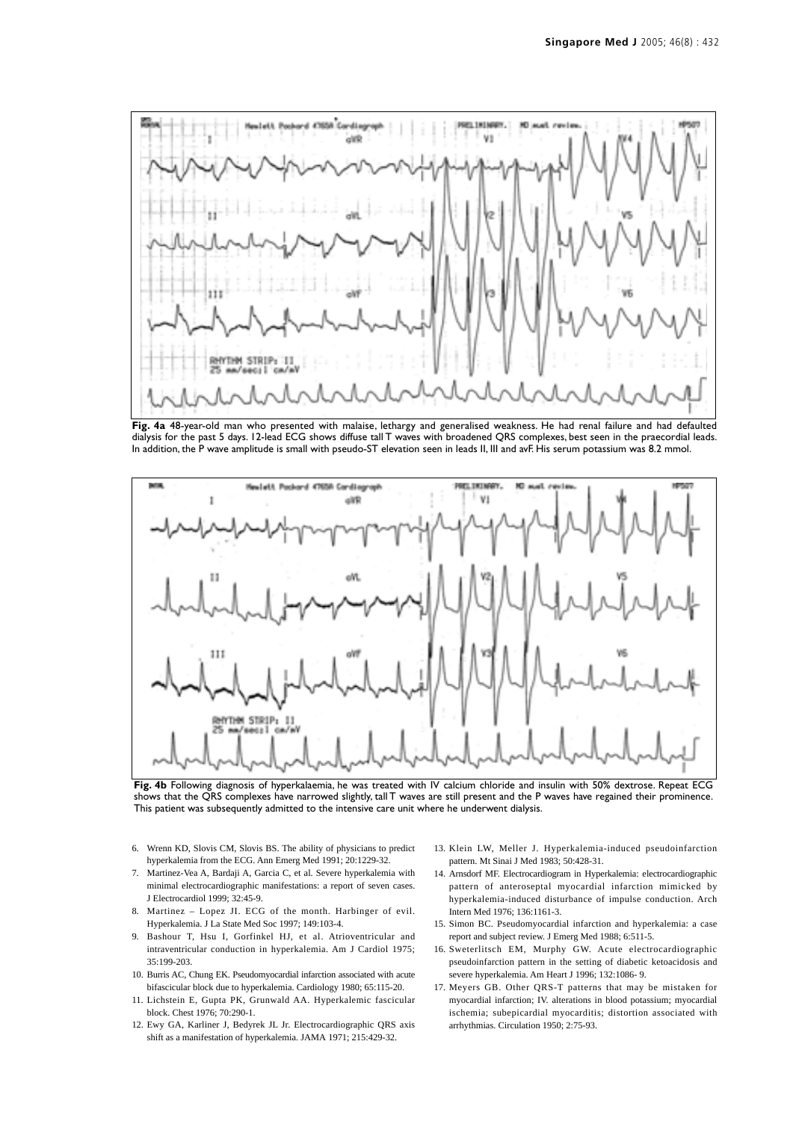

**Fig. 4a** 48-year-old man who presented with malaise, lethargy and generalised weakness. He had renal failure and had defaulted dialysis for the past 5 days. 12-lead ECG shows diffuse tall T waves with broadened QRS complexes, best seen in the praecordial leads. In addition, the P wave amplitude is small with pseudo-ST elevation seen in leads II, III and avF. His serum potassium was 8.2 mmol.



**Fig. 4b** Following diagnosis of hyperkalaemia, he was treated with IV calcium chloride and insulin with 50% dextrose. Repeat ECG shows that the QRS complexes have narrowed slightly, tall T waves are still present and the P waves have regained their prominence. This patient was subsequently admitted to the intensive care unit where he underwent dialysis.

- 6. Wrenn KD, Slovis CM, Slovis BS. The ability of physicians to predict hyperkalemia from the ECG. Ann Emerg Med 1991; 20:1229-32.
- 7. Martinez-Vea A, Bardaji A, Garcia C, et al. Severe hyperkalemia with minimal electrocardiographic manifestations: a report of seven cases. J Electrocardiol 1999; 32:45-9.
- 8. Martinez Lopez JI. ECG of the month. Harbinger of evil. Hyperkalemia. J La State Med Soc 1997; 149:103-4.
- 9. Bashour T, Hsu I, Gorfinkel HJ, et al. Atrioventricular and intraventricular conduction in hyperkalemia. Am J Cardiol 1975; 35:199-203.
- 10. Burris AC, Chung EK. Pseudomyocardial infarction associated with acute bifascicular block due to hyperkalemia. Cardiology 1980; 65:115-20.
- 11. Lichstein E, Gupta PK, Grunwald AA. Hyperkalemic fascicular block. Chest 1976; 70:290-1.
- 12. Ewy GA, Karliner J, Bedyrek JL Jr. Electrocardiographic QRS axis shift as a manifestation of hyperkalemia. JAMA 1971; 215:429-32.
- 13. Klein LW, Meller J. Hyperkalemia-induced pseudoinfarction pattern. Mt Sinai J Med 1983; 50:428-31.
- 14. Arnsdorf MF. Electrocardiogram in Hyperkalemia: electrocardiographic pattern of anteroseptal myocardial infarction mimicked by hyperkalemia-induced disturbance of impulse conduction. Arch Intern Med 1976; 136:1161-3.
- 15. Simon BC. Pseudomyocardial infarction and hyperkalemia: a case report and subject review. J Emerg Med 1988; 6:511-5.
- 16. Sweterlitsch EM, Murphy GW. Acute electrocardiographic pseudoinfarction pattern in the setting of diabetic ketoacidosis and severe hyperkalemia. Am Heart J 1996; 132:1086- 9.
- 17. Meyers GB. Other QRS-T patterns that may be mistaken for myocardial infarction; IV. alterations in blood potassium; myocardial ischemia; subepicardial myocarditis; distortion associated with arrhythmias. Circulation 1950; 2:75-93.